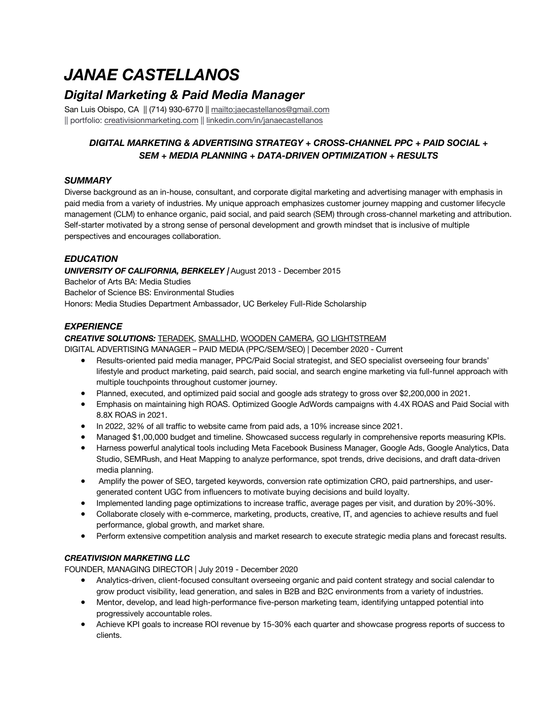# *JANAE CASTELLANOS*

## *Digital Marketing & Paid Media Manager*

San Luis Obispo, CA || (714) 930-6770 || mailto:jaecastellanos@gmail.com || portfolio: creativisionmarketing.com || linkedin.com/in/janaecastellanos

### *DIGITAL MARKETING & ADVERTISING STRATEGY + CROSS-CHANNEL PPC + PAID SOCIAL + SEM + MEDIA PLANNING + DATA-DRIVEN OPTIMIZATION + RESULTS*

#### *SUMMARY*

Diverse background as an in-house, consultant, and corporate digital marketing and advertising manager with emphasis in paid media from a variety of industries. My unique approach emphasizes customer journey mapping and customer lifecycle management (CLM) to enhance organic, paid social, and paid search (SEM) through cross-channel marketing and attribution. Self-starter motivated by a strong sense of personal development and growth mindset that is inclusive of multiple perspectives and encourages collaboration.

#### *EDUCATION*

#### *UNIVERSITY OF CALIFORNIA, BERKELEY |* August 2013 - December 2015

Bachelor of Arts BA: Media Studies

Bachelor of Science BS: Environmental Studies

Honors: Media Studies Department Ambassador, UC Berkeley Full-Ride Scholarship

#### *EXPERIENCE*

#### *CREATIVE SOLUTIONS:* TERADEK, SMALLHD, WOODEN CAMERA, GO LIGHTSTREAM

DIGITAL ADVERTISING MANAGER – PAID MEDIA (PPC/SEM/SEO) | December 2020 - Current

- Results-oriented paid media manager, PPC/Paid Social strategist, and SEO specialist overseeing four brands' lifestyle and product marketing, paid search, paid social, and search engine marketing via full-funnel approach with multiple touchpoints throughout customer journey.
- Planned, executed, and optimized paid social and google ads strategy to gross over \$2,200,000 in 2021.
- Emphasis on maintaining high ROAS. Optimized Google AdWords campaigns with 4.4X ROAS and Paid Social with 8.8X ROAS in 2021.
- In 2022, 32% of all traffic to website came from paid ads, a 10% increase since 2021.
- Managed \$1,00,000 budget and timeline. Showcased success regularly in comprehensive reports measuring KPIs.
- Harness powerful analytical tools including Meta Facebook Business Manager, Google Ads, Google Analytics, Data Studio, SEMRush, and Heat Mapping to analyze performance, spot trends, drive decisions, and draft data-driven media planning.
- Amplify the power of SEO, targeted keywords, conversion rate optimization CRO, paid partnerships, and usergenerated content UGC from influencers to motivate buying decisions and build loyalty.
- Implemented landing page optimizations to increase traffic, average pages per visit, and duration by 20%-30%.
- Collaborate closely with e-commerce, marketing, products, creative, IT, and agencies to achieve results and fuel performance, global growth, and market share.
- Perform extensive competition analysis and market research to execute strategic media plans and forecast results.

#### *CREATIVISION MARKETING LLC*

FOUNDER, MANAGING DIRECTOR *|* July 2019 - December 2020

- Analytics-driven, client-focused consultant overseeing organic and paid content strategy and social calendar to grow product visibility, lead generation, and sales in B2B and B2C environments from a variety of industries.
- Mentor, develop, and lead high-performance five-person marketing team, identifying untapped potential into progressively accountable roles.
- Achieve KPI goals to increase ROI revenue by 15-30% each quarter and showcase progress reports of success to clients.